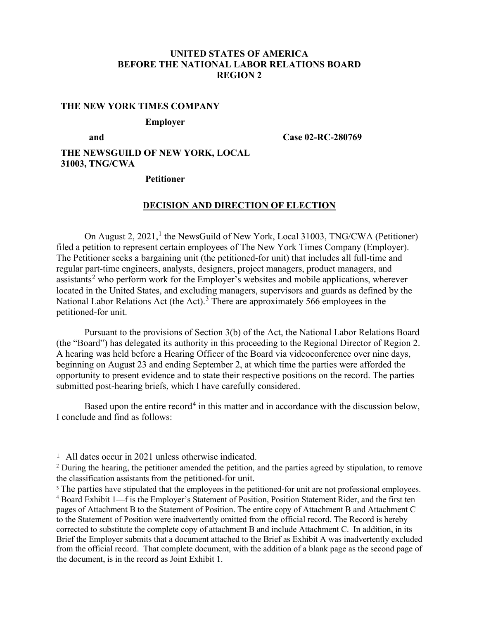### **UNITED STATES OF AMERICA BEFORE THE NATIONAL LABOR RELATIONS BOARD REGION 2**

#### **THE NEW YORK TIMES COMPANY**

#### **Employer**

**and Case 02-RC-280769**

# **THE NEWSGUILD OF NEW YORK, LOCAL 31003, TNG/CWA**

#### **Petitioner**

#### **DECISION AND DIRECTION OF ELECTION**

On August 2, 2021,<sup>1</sup> the NewsGuild of New York, Local 31003, TNG/CWA (Petitioner) filed a petition to represent certain employees of The New York Times Company (Employer). The Petitioner seeks a bargaining unit (the petitioned-for unit) that includes all full-time and regular part-time engineers, analysts, designers, project managers, product managers, and  $assistants<sup>2</sup>$  who perform work for the Employer's websites and mobile applications, wherever located in the United States, and excluding managers, supervisors and guards as defined by the National Labor Relations Act (the Act).<sup>3</sup> There are approximately 566 employees in the petitioned-for unit.

Pursuant to the provisions of Section 3(b) of the Act, the National Labor Relations Board (the "Board") has delegated its authority in this proceeding to the Regional Director of Region 2. A hearing was held before a Hearing Officer of the Board via videoconference over nine days, beginning on August 23 and ending September 2, at which time the parties were afforded the opportunity to present evidence and to state their respective positions on the record. The parties submitted post-hearing briefs, which I have carefully considered.

Based upon the entire record<sup>4</sup> in this matter and in accordance with the discussion below, I conclude and find as follows:

<sup>&</sup>lt;sup>1</sup> All dates occur in 2021 unless otherwise indicated.

<sup>&</sup>lt;sup>2</sup> During the hearing, the petitioner amended the petition, and the parties agreed by stipulation, to remove the classification assistants from the petitioned-for unit.

<sup>&</sup>lt;sup>3</sup> The parties have stipulated that the employees in the petitioned-for unit are not professional employees.

<sup>4</sup> Board Exhibit 1—f is the Employer's Statement of Position, Position Statement Rider, and the first ten pages of Attachment B to the Statement of Position. The entire copy of Attachment B and Attachment C to the Statement of Position were inadvertently omitted from the official record. The Record is hereby corrected to substitute the complete copy of attachment B and include Attachment C. In addition, in its Brief the Employer submits that a document attached to the Brief as Exhibit A was inadvertently excluded from the official record. That complete document, with the addition of a blank page as the second page of the document, is in the record as Joint Exhibit 1.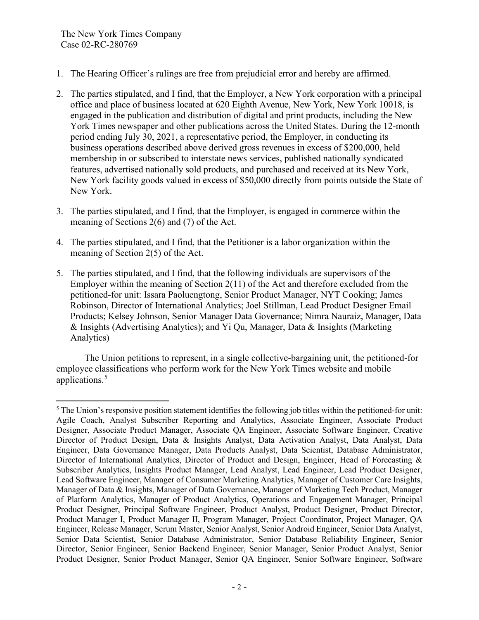- 1. The Hearing Officer's rulings are free from prejudicial error and hereby are affirmed.
- 2. The parties stipulated, and I find, that the Employer, a New York corporation with a principal office and place of business located at 620 Eighth Avenue, New York, New York 10018, is engaged in the publication and distribution of digital and print products, including the New York Times newspaper and other publications across the United States. During the 12-month period ending July 30, 2021, a representative period, the Employer, in conducting its business operations described above derived gross revenues in excess of \$200,000, held membership in or subscribed to interstate news services, published nationally syndicated features, advertised nationally sold products, and purchased and received at its New York, New York facility goods valued in excess of \$50,000 directly from points outside the State of New York.
- 3. The parties stipulated, and I find, that the Employer, is engaged in commerce within the meaning of Sections 2(6) and (7) of the Act.
- 4. The parties stipulated, and I find, that the Petitioner is a labor organization within the meaning of Section 2(5) of the Act.
- 5. The parties stipulated, and I find, that the following individuals are supervisors of the Employer within the meaning of Section 2(11) of the Act and therefore excluded from the petitioned-for unit: Issara Paoluengtong, Senior Product Manager, NYT Cooking; James Robinson, Director of International Analytics; Joel Stillman, Lead Product Designer Email Products; Kelsey Johnson, Senior Manager Data Governance; Nimra Nauraiz, Manager, Data & Insights (Advertising Analytics); and Yi Qu, Manager, Data & Insights (Marketing Analytics)

The Union petitions to represent, in a single collective-bargaining unit, the petitioned-for employee classifications who perform work for the New York Times website and mobile applications.<sup>5</sup>

<sup>&</sup>lt;sup>5</sup> The Union's responsive position statement identifies the following job titles within the petitioned-for unit: Agile Coach, Analyst Subscriber Reporting and Analytics, Associate Engineer, Associate Product Designer, Associate Product Manager, Associate QA Engineer, Associate Software Engineer, Creative Director of Product Design, Data & Insights Analyst, Data Activation Analyst, Data Analyst, Data Engineer, Data Governance Manager, Data Products Analyst, Data Scientist, Database Administrator, Director of International Analytics, Director of Product and Design, Engineer, Head of Forecasting & Subscriber Analytics, Insights Product Manager, Lead Analyst, Lead Engineer, Lead Product Designer, Lead Software Engineer, Manager of Consumer Marketing Analytics, Manager of Customer Care Insights, Manager of Data & Insights, Manager of Data Governance, Manager of Marketing Tech Product, Manager of Platform Analytics, Manager of Product Analytics, Operations and Engagement Manager, Principal Product Designer, Principal Software Engineer, Product Analyst, Product Designer, Product Director, Product Manager I, Product Manager II, Program Manager, Project Coordinator, Project Manager, QA Engineer, Release Manager, Scrum Master, Senior Analyst, Senior Android Engineer, Senior Data Analyst, Senior Data Scientist, Senior Database Administrator, Senior Database Reliability Engineer, Senior Director, Senior Engineer, Senior Backend Engineer, Senior Manager, Senior Product Analyst, Senior Product Designer, Senior Product Manager, Senior QA Engineer, Senior Software Engineer, Software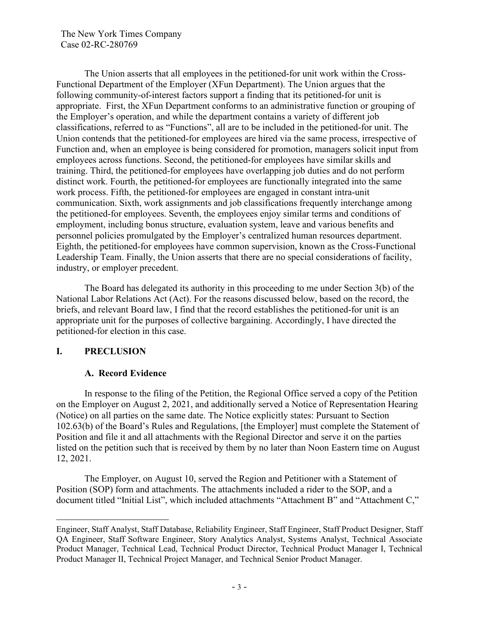The Union asserts that all employees in the petitioned-for unit work within the Cross-Functional Department of the Employer (XFun Department). The Union argues that the following community-of-interest factors support a finding that its petitioned-for unit is appropriate. First, the XFun Department conforms to an administrative function or grouping of the Employer's operation, and while the department contains a variety of different job classifications, referred to as "Functions", all are to be included in the petitioned-for unit. The Union contends that the petitioned-for employees are hired via the same process, irrespective of Function and, when an employee is being considered for promotion, managers solicit input from employees across functions. Second, the petitioned-for employees have similar skills and training. Third, the petitioned-for employees have overlapping job duties and do not perform distinct work. Fourth, the petitioned-for employees are functionally integrated into the same work process. Fifth, the petitioned-for employees are engaged in constant intra-unit communication. Sixth, work assignments and job classifications frequently interchange among the petitioned-for employees. Seventh, the employees enjoy similar terms and conditions of employment, including bonus structure, evaluation system, leave and various benefits and personnel policies promulgated by the Employer's centralized human resources department. Eighth, the petitioned-for employees have common supervision, known as the Cross-Functional Leadership Team. Finally, the Union asserts that there are no special considerations of facility, industry, or employer precedent.

The Board has delegated its authority in this proceeding to me under Section 3(b) of the National Labor Relations Act (Act). For the reasons discussed below, based on the record, the briefs, and relevant Board law, I find that the record establishes the petitioned-for unit is an appropriate unit for the purposes of collective bargaining. Accordingly, I have directed the petitioned-for election in this case.

# **I. PRECLUSION**

### **A. Record Evidence**

In response to the filing of the Petition, the Regional Office served a copy of the Petition on the Employer on August 2, 2021, and additionally served a Notice of Representation Hearing (Notice) on all parties on the same date. The Notice explicitly states: Pursuant to Section 102.63(b) of the Board's Rules and Regulations, [the Employer] must complete the Statement of Position and file it and all attachments with the Regional Director and serve it on the parties listed on the petition such that is received by them by no later than Noon Eastern time on August 12, 2021.

The Employer, on August 10, served the Region and Petitioner with a Statement of Position (SOP) form and attachments. The attachments included a rider to the SOP, and a document titled "Initial List", which included attachments "Attachment B" and "Attachment C,"

Engineer, Staff Analyst, Staff Database, Reliability Engineer, Staff Engineer, Staff Product Designer, Staff QA Engineer, Staff Software Engineer, Story Analytics Analyst, Systems Analyst, Technical Associate Product Manager, Technical Lead, Technical Product Director, Technical Product Manager I, Technical Product Manager II, Technical Project Manager, and Technical Senior Product Manager.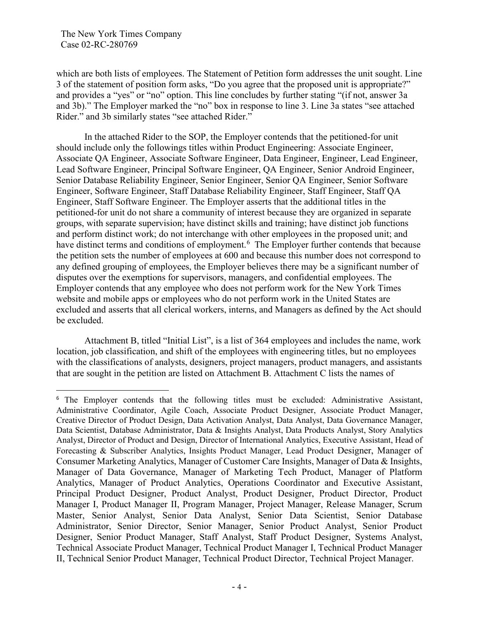which are both lists of employees. The Statement of Petition form addresses the unit sought. Line 3 of the statement of position form asks, "Do you agree that the proposed unit is appropriate?" and provides a "yes" or "no" option. This line concludes by further stating "(if not, answer 3a and 3b)." The Employer marked the "no" box in response to line 3. Line 3a states "see attached Rider." and 3b similarly states "see attached Rider."

In the attached Rider to the SOP, the Employer contends that the petitioned-for unit should include only the followings titles within Product Engineering: Associate Engineer, Associate QA Engineer, Associate Software Engineer, Data Engineer, Engineer, Lead Engineer, Lead Software Engineer, Principal Software Engineer, QA Engineer, Senior Android Engineer, Senior Database Reliability Engineer, Senior Engineer, Senior QA Engineer, Senior Software Engineer, Software Engineer, Staff Database Reliability Engineer, Staff Engineer, Staff QA Engineer, Staff Software Engineer. The Employer asserts that the additional titles in the petitioned-for unit do not share a community of interest because they are organized in separate groups, with separate supervision; have distinct skills and training; have distinct job functions and perform distinct work; do not interchange with other employees in the proposed unit; and have distinct terms and conditions of employment.<sup>6</sup> The Employer further contends that because the petition sets the number of employees at 600 and because this number does not correspond to any defined grouping of employees, the Employer believes there may be a significant number of disputes over the exemptions for supervisors, managers, and confidential employees. The Employer contends that any employee who does not perform work for the New York Times website and mobile apps or employees who do not perform work in the United States are excluded and asserts that all clerical workers, interns, and Managers as defined by the Act should be excluded.

Attachment B, titled "Initial List", is a list of 364 employees and includes the name, work location, job classification, and shift of the employees with engineering titles, but no employees with the classifications of analysts, designers, project managers, product managers, and assistants that are sought in the petition are listed on Attachment B. Attachment C lists the names of

<sup>&</sup>lt;sup>6</sup> The Employer contends that the following titles must be excluded: Administrative Assistant, Administrative Coordinator, Agile Coach, Associate Product Designer, Associate Product Manager, Creative Director of Product Design, Data Activation Analyst, Data Analyst, Data Governance Manager, Data Scientist, Database Administrator, Data & Insights Analyst, Data Products Analyst, Story Analytics Analyst, Director of Product and Design, Director of International Analytics, Executive Assistant, Head of Forecasting & Subscriber Analytics, Insights Product Manager, Lead Product Designer, Manager of Consumer Marketing Analytics, Manager of Customer Care Insights, Manager of Data & Insights, Manager of Data Governance, Manager of Marketing Tech Product, Manager of Platform Analytics, Manager of Product Analytics, Operations Coordinator and Executive Assistant, Principal Product Designer, Product Analyst, Product Designer, Product Director, Product Manager I, Product Manager II, Program Manager, Project Manager, Release Manager, Scrum Master, Senior Analyst, Senior Data Analyst, Senior Data Scientist, Senior Database Administrator, Senior Director, Senior Manager, Senior Product Analyst, Senior Product Designer, Senior Product Manager, Staff Analyst, Staff Product Designer, Systems Analyst, Technical Associate Product Manager, Technical Product Manager I, Technical Product Manager II, Technical Senior Product Manager, Technical Product Director, Technical Project Manager.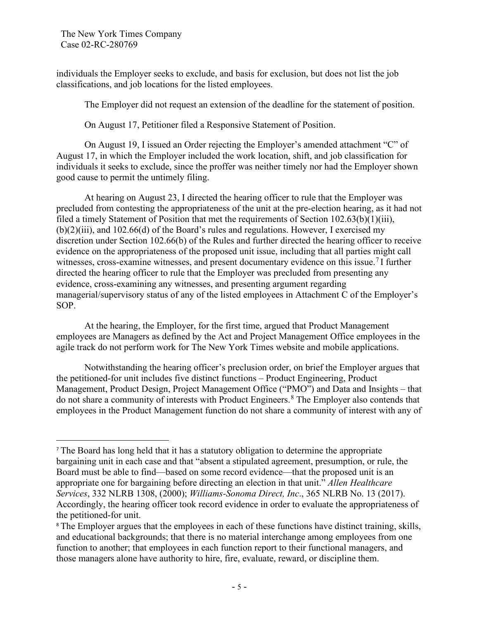individuals the Employer seeks to exclude, and basis for exclusion, but does not list the job classifications, and job locations for the listed employees.

The Employer did not request an extension of the deadline for the statement of position.

On August 17, Petitioner filed a Responsive Statement of Position.

On August 19, I issued an Order rejecting the Employer's amended attachment "C" of August 17, in which the Employer included the work location, shift, and job classification for individuals it seeks to exclude, since the proffer was neither timely nor had the Employer shown good cause to permit the untimely filing.

At hearing on August 23, I directed the hearing officer to rule that the Employer was precluded from contesting the appropriateness of the unit at the pre-election hearing, as it had not filed a timely Statement of Position that met the requirements of Section 102.63(b)(1)(iii),  $(b)(2)(iii)$ , and 102.66(d) of the Board's rules and regulations. However, I exercised my discretion under Section 102.66(b) of the Rules and further directed the hearing officer to receive evidence on the appropriateness of the proposed unit issue, including that all parties might call witnesses, cross-examine witnesses, and present documentary evidence on this issue.<sup>7</sup> I further directed the hearing officer to rule that the Employer was precluded from presenting any evidence, cross-examining any witnesses, and presenting argument regarding managerial/supervisory status of any of the listed employees in Attachment C of the Employer's SOP.

At the hearing, the Employer, for the first time, argued that Product Management employees are Managers as defined by the Act and Project Management Office employees in the agile track do not perform work for The New York Times website and mobile applications.

Notwithstanding the hearing officer's preclusion order, on brief the Employer argues that the petitioned-for unit includes five distinct functions – Product Engineering, Product Management, Product Design, Project Management Office ("PMO") and Data and Insights – that do not share a community of interests with Product Engineers.<sup>8</sup> The Employer also contends that employees in the Product Management function do not share a community of interest with any of

<sup>7</sup> The Board has long held that it has a statutory obligation to determine the appropriate bargaining unit in each case and that "absent a stipulated agreement, presumption, or rule, the Board must be able to find—based on some record evidence—that the proposed unit is an appropriate one for bargaining before directing an election in that unit." *Allen Healthcare Services*, 332 NLRB 1308, (2000); *Williams-Sonoma Direct, Inc*., 365 NLRB No. 13 (2017). Accordingly, the hearing officer took record evidence in order to evaluate the appropriateness of the petitioned-for unit.

<sup>&</sup>lt;sup>8</sup> The Employer argues that the employees in each of these functions have distinct training, skills, and educational backgrounds; that there is no material interchange among employees from one function to another; that employees in each function report to their functional managers, and those managers alone have authority to hire, fire, evaluate, reward, or discipline them.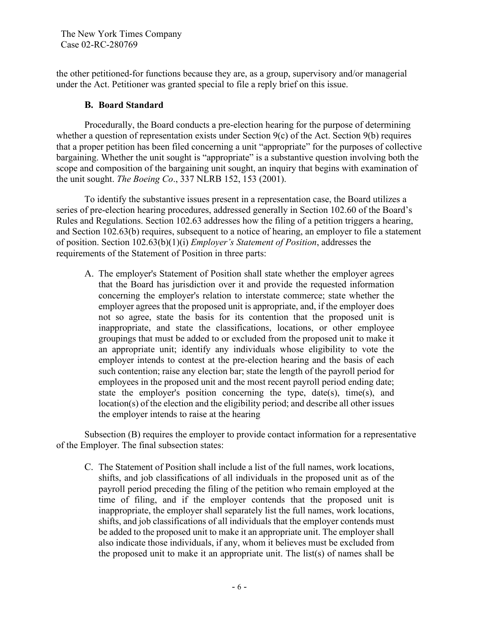the other petitioned-for functions because they are, as a group, supervisory and/or managerial under the Act. Petitioner was granted special to file a reply brief on this issue.

# **B. Board Standard**

Procedurally, the Board conducts a pre-election hearing for the purpose of determining whether a question of representation exists under Section  $9(c)$  of the Act. Section  $9(b)$  requires that a proper petition has been filed concerning a unit "appropriate" for the purposes of collective bargaining. Whether the unit sought is "appropriate" is a substantive question involving both the scope and composition of the bargaining unit sought, an inquiry that begins with examination of the unit sought. *The Boeing Co*., 337 NLRB 152, 153 (2001).

To identify the substantive issues present in a representation case, the Board utilizes a series of pre-election hearing procedures, addressed generally in Section 102.60 of the Board's Rules and Regulations. Section 102.63 addresses how the filing of a petition triggers a hearing, and Section 102.63(b) requires, subsequent to a notice of hearing, an employer to file a statement of position. Section 102.63(b)(1)(i) *Employer's Statement of Position*, addresses the requirements of the Statement of Position in three parts:

A. The employer's Statement of Position shall state whether the employer agrees that the Board has jurisdiction over it and provide the requested information concerning the employer's relation to interstate commerce; state whether the employer agrees that the proposed unit is appropriate, and, if the employer does not so agree, state the basis for its contention that the proposed unit is inappropriate, and state the classifications, locations, or other employee groupings that must be added to or excluded from the proposed unit to make it an appropriate unit; identify any individuals whose eligibility to vote the employer intends to contest at the pre-election hearing and the basis of each such contention; raise any election bar; state the length of the payroll period for employees in the proposed unit and the most recent payroll period ending date; state the employer's position concerning the type, date(s), time(s), and location(s) of the election and the eligibility period; and describe all other issues the employer intends to raise at the hearing

Subsection (B) requires the employer to provide contact information for a representative of the Employer. The final subsection states:

C. The Statement of Position shall include a list of the full names, work locations, shifts, and job classifications of all individuals in the proposed unit as of the payroll period preceding the filing of the petition who remain employed at the time of filing, and if the employer contends that the proposed unit is inappropriate, the employer shall separately list the full names, work locations, shifts, and job classifications of all individuals that the employer contends must be added to the proposed unit to make it an appropriate unit. The employer shall also indicate those individuals, if any, whom it believes must be excluded from the proposed unit to make it an appropriate unit. The list(s) of names shall be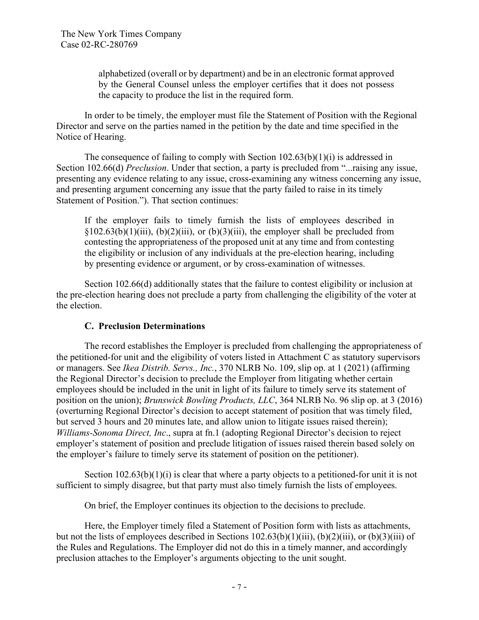alphabetized (overall or by department) and be in an electronic format approved by the General Counsel unless the employer certifies that it does not possess the capacity to produce the list in the required form.

In order to be timely, the employer must file the Statement of Position with the Regional Director and serve on the parties named in the petition by the date and time specified in the Notice of Hearing.

The consequence of failing to comply with Section  $102.63(b)(1)(i)$  is addressed in Section 102.66(d) *Preclusion*. Under that section, a party is precluded from "...raising any issue, presenting any evidence relating to any issue, cross-examining any witness concerning any issue, and presenting argument concerning any issue that the party failed to raise in its timely Statement of Position."). That section continues:

If the employer fails to timely furnish the lists of employees described in  $\S102.63(b)(1)(iii)$ ,  $(b)(2)(iii)$ , or  $(b)(3)(iii)$ , the employer shall be precluded from contesting the appropriateness of the proposed unit at any time and from contesting the eligibility or inclusion of any individuals at the pre-election hearing, including by presenting evidence or argument, or by cross-examination of witnesses.

Section 102.66(d) additionally states that the failure to contest eligibility or inclusion at the pre-election hearing does not preclude a party from challenging the eligibility of the voter at the election.

# **C. Preclusion Determinations**

The record establishes the Employer is precluded from challenging the appropriateness of the petitioned-for unit and the eligibility of voters listed in Attachment C as statutory supervisors or managers. See *Ikea Distrib. Servs., Inc.*, 370 NLRB No. 109, slip op. at 1 (2021) (affirming the Regional Director's decision to preclude the Employer from litigating whether certain employees should be included in the unit in light of its failure to timely serve its statement of position on the union); *Brunswick Bowling Products, LLC*, 364 NLRB No. 96 slip op. at 3 (2016) (overturning Regional Director's decision to accept statement of position that was timely filed, but served 3 hours and 20 minutes late, and allow union to litigate issues raised therein); *Williams-Sonoma Direct, Inc*., supra at fn.1 (adopting Regional Director's decision to reject employer's statement of position and preclude litigation of issues raised therein based solely on the employer's failure to timely serve its statement of position on the petitioner).

Section  $102.63(b)(1)(i)$  is clear that where a party objects to a petitioned-for unit it is not sufficient to simply disagree, but that party must also timely furnish the lists of employees.

On brief, the Employer continues its objection to the decisions to preclude.

Here, the Employer timely filed a Statement of Position form with lists as attachments, but not the lists of employees described in Sections  $102.63(b)(1)(iii)$ ,  $(b)(2)(iii)$ , or  $(b)(3)(iii)$  of the Rules and Regulations. The Employer did not do this in a timely manner, and accordingly preclusion attaches to the Employer's arguments objecting to the unit sought.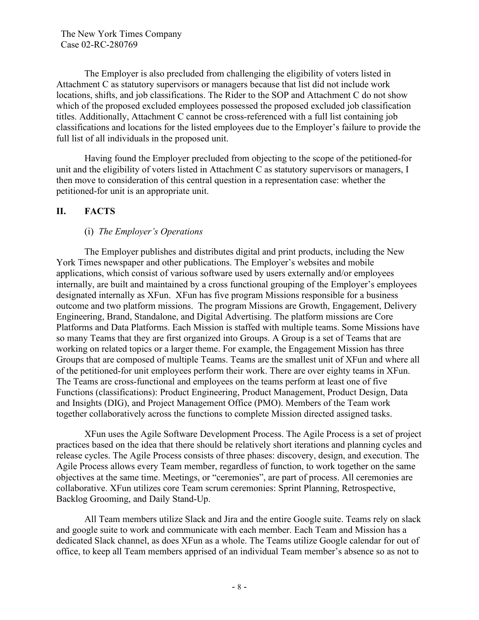The Employer is also precluded from challenging the eligibility of voters listed in Attachment C as statutory supervisors or managers because that list did not include work locations, shifts, and job classifications. The Rider to the SOP and Attachment C do not show which of the proposed excluded employees possessed the proposed excluded job classification titles. Additionally, Attachment C cannot be cross-referenced with a full list containing job classifications and locations for the listed employees due to the Employer's failure to provide the full list of all individuals in the proposed unit.

Having found the Employer precluded from objecting to the scope of the petitioned-for unit and the eligibility of voters listed in Attachment C as statutory supervisors or managers, I then move to consideration of this central question in a representation case: whether the petitioned-for unit is an appropriate unit.

# **II. FACTS**

### (i) *The Employer's Operations*

The Employer publishes and distributes digital and print products, including the New York Times newspaper and other publications. The Employer's websites and mobile applications, which consist of various software used by users externally and/or employees internally, are built and maintained by a cross functional grouping of the Employer's employees designated internally as XFun. XFun has five program Missions responsible for a business outcome and two platform missions. The program Missions are Growth, Engagement, Delivery Engineering, Brand, Standalone, and Digital Advertising. The platform missions are Core Platforms and Data Platforms. Each Mission is staffed with multiple teams. Some Missions have so many Teams that they are first organized into Groups. A Group is a set of Teams that are working on related topics or a larger theme. For example, the Engagement Mission has three Groups that are composed of multiple Teams. Teams are the smallest unit of XFun and where all of the petitioned-for unit employees perform their work. There are over eighty teams in XFun. The Teams are cross-functional and employees on the teams perform at least one of five Functions (classifications): Product Engineering, Product Management, Product Design, Data and Insights (DIG), and Project Management Office (PMO). Members of the Team work together collaboratively across the functions to complete Mission directed assigned tasks.

XFun uses the Agile Software Development Process. The Agile Process is a set of project practices based on the idea that there should be relatively short iterations and planning cycles and release cycles. The Agile Process consists of three phases: discovery, design, and execution. The Agile Process allows every Team member, regardless of function, to work together on the same objectives at the same time. Meetings, or "ceremonies", are part of process. All ceremonies are collaborative. XFun utilizes core Team scrum ceremonies: Sprint Planning, Retrospective, Backlog Grooming, and Daily Stand-Up.

All Team members utilize Slack and Jira and the entire Google suite. Teams rely on slack and google suite to work and communicate with each member. Each Team and Mission has a dedicated Slack channel, as does XFun as a whole. The Teams utilize Google calendar for out of office, to keep all Team members apprised of an individual Team member's absence so as not to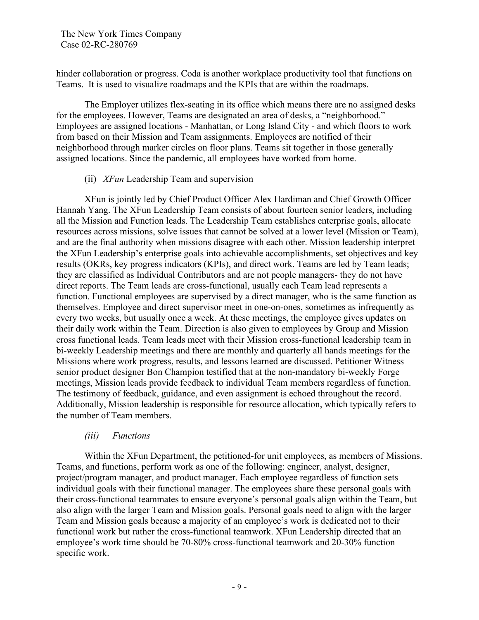hinder collaboration or progress. Coda is another workplace productivity tool that functions on Teams. It is used to visualize roadmaps and the KPIs that are within the roadmaps.

The Employer utilizes flex-seating in its office which means there are no assigned desks for the employees. However, Teams are designated an area of desks, a "neighborhood." Employees are assigned locations - Manhattan, or Long Island City - and which floors to work from based on their Mission and Team assignments. Employees are notified of their neighborhood through marker circles on floor plans. Teams sit together in those generally assigned locations. Since the pandemic, all employees have worked from home.

### (ii) *XFun* Leadership Team and supervision

XFun is jointly led by Chief Product Officer Alex Hardiman and Chief Growth Officer Hannah Yang. The XFun Leadership Team consists of about fourteen senior leaders, including all the Mission and Function leads. The Leadership Team establishes enterprise goals, allocate resources across missions, solve issues that cannot be solved at a lower level (Mission or Team), and are the final authority when missions disagree with each other. Mission leadership interpret the XFun Leadership's enterprise goals into achievable accomplishments, set objectives and key results (OKRs, key progress indicators (KPIs), and direct work. Teams are led by Team leads; they are classified as Individual Contributors and are not people managers- they do not have direct reports. The Team leads are cross-functional, usually each Team lead represents a function. Functional employees are supervised by a direct manager, who is the same function as themselves. Employee and direct supervisor meet in one-on-ones, sometimes as infrequently as every two weeks, but usually once a week. At these meetings, the employee gives updates on their daily work within the Team. Direction is also given to employees by Group and Mission cross functional leads. Team leads meet with their Mission cross-functional leadership team in bi-weekly Leadership meetings and there are monthly and quarterly all hands meetings for the Missions where work progress, results, and lessons learned are discussed. Petitioner Witness senior product designer Bon Champion testified that at the non-mandatory bi-weekly Forge meetings, Mission leads provide feedback to individual Team members regardless of function. The testimony of feedback, guidance, and even assignment is echoed throughout the record. Additionally, Mission leadership is responsible for resource allocation, which typically refers to the number of Team members.

#### *(iii) Functions*

Within the XFun Department, the petitioned-for unit employees, as members of Missions. Teams, and functions, perform work as one of the following: engineer, analyst, designer, project/program manager, and product manager. Each employee regardless of function sets individual goals with their functional manager. The employees share these personal goals with their cross-functional teammates to ensure everyone's personal goals align within the Team, but also align with the larger Team and Mission goals. Personal goals need to align with the larger Team and Mission goals because a majority of an employee's work is dedicated not to their functional work but rather the cross-functional teamwork. XFun Leadership directed that an employee's work time should be 70-80% cross-functional teamwork and 20-30% function specific work.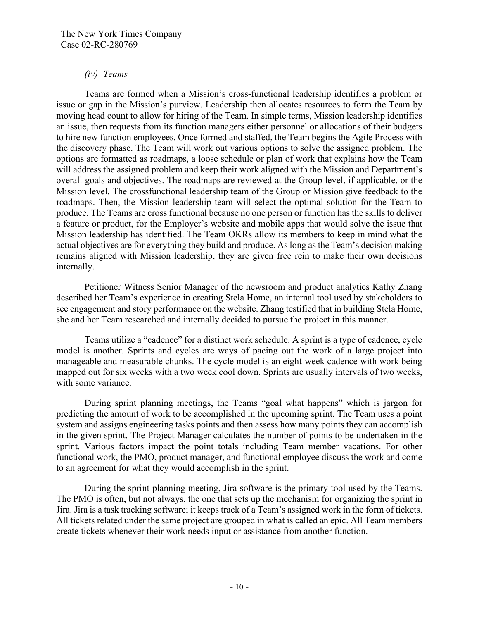### *(iv) Teams*

Teams are formed when a Mission's cross-functional leadership identifies a problem or issue or gap in the Mission's purview. Leadership then allocates resources to form the Team by moving head count to allow for hiring of the Team. In simple terms, Mission leadership identifies an issue, then requests from its function managers either personnel or allocations of their budgets to hire new function employees. Once formed and staffed, the Team begins the Agile Process with the discovery phase. The Team will work out various options to solve the assigned problem. The options are formatted as roadmaps, a loose schedule or plan of work that explains how the Team will address the assigned problem and keep their work aligned with the Mission and Department's overall goals and objectives. The roadmaps are reviewed at the Group level, if applicable, or the Mission level. The crossfunctional leadership team of the Group or Mission give feedback to the roadmaps. Then, the Mission leadership team will select the optimal solution for the Team to produce. The Teams are cross functional because no one person or function has the skills to deliver a feature or product, for the Employer's website and mobile apps that would solve the issue that Mission leadership has identified. The Team OKRs allow its members to keep in mind what the actual objectives are for everything they build and produce. As long as the Team's decision making remains aligned with Mission leadership, they are given free rein to make their own decisions internally.

Petitioner Witness Senior Manager of the newsroom and product analytics Kathy Zhang described her Team's experience in creating Stela Home, an internal tool used by stakeholders to see engagement and story performance on the website. Zhang testified that in building Stela Home, she and her Team researched and internally decided to pursue the project in this manner.

Teams utilize a "cadence" for a distinct work schedule. A sprint is a type of cadence, cycle model is another. Sprints and cycles are ways of pacing out the work of a large project into manageable and measurable chunks. The cycle model is an eight-week cadence with work being mapped out for six weeks with a two week cool down. Sprints are usually intervals of two weeks, with some variance.

During sprint planning meetings, the Teams "goal what happens" which is jargon for predicting the amount of work to be accomplished in the upcoming sprint. The Team uses a point system and assigns engineering tasks points and then assess how many points they can accomplish in the given sprint. The Project Manager calculates the number of points to be undertaken in the sprint. Various factors impact the point totals including Team member vacations. For other functional work, the PMO, product manager, and functional employee discuss the work and come to an agreement for what they would accomplish in the sprint.

During the sprint planning meeting, Jira software is the primary tool used by the Teams. The PMO is often, but not always, the one that sets up the mechanism for organizing the sprint in Jira. Jira is a task tracking software; it keeps track of a Team's assigned work in the form of tickets. All tickets related under the same project are grouped in what is called an epic. All Team members create tickets whenever their work needs input or assistance from another function.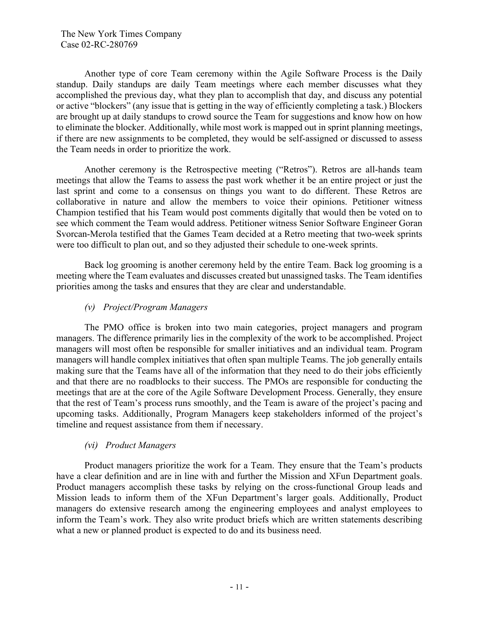Another type of core Team ceremony within the Agile Software Process is the Daily standup. Daily standups are daily Team meetings where each member discusses what they accomplished the previous day, what they plan to accomplish that day, and discuss any potential or active "blockers" (any issue that is getting in the way of efficiently completing a task.) Blockers are brought up at daily standups to crowd source the Team for suggestions and know how on how to eliminate the blocker. Additionally, while most work is mapped out in sprint planning meetings, if there are new assignments to be completed, they would be self-assigned or discussed to assess the Team needs in order to prioritize the work.

Another ceremony is the Retrospective meeting ("Retros"). Retros are all-hands team meetings that allow the Teams to assess the past work whether it be an entire project or just the last sprint and come to a consensus on things you want to do different. These Retros are collaborative in nature and allow the members to voice their opinions. Petitioner witness Champion testified that his Team would post comments digitally that would then be voted on to see which comment the Team would address. Petitioner witness Senior Software Engineer Goran Svorcan-Merola testified that the Games Team decided at a Retro meeting that two-week sprints were too difficult to plan out, and so they adjusted their schedule to one-week sprints.

Back log grooming is another ceremony held by the entire Team. Back log grooming is a meeting where the Team evaluates and discusses created but unassigned tasks. The Team identifies priorities among the tasks and ensures that they are clear and understandable.

# *(v) Project/Program Managers*

The PMO office is broken into two main categories, project managers and program managers. The difference primarily lies in the complexity of the work to be accomplished. Project managers will most often be responsible for smaller initiatives and an individual team. Program managers will handle complex initiatives that often span multiple Teams. The job generally entails making sure that the Teams have all of the information that they need to do their jobs efficiently and that there are no roadblocks to their success. The PMOs are responsible for conducting the meetings that are at the core of the Agile Software Development Process. Generally, they ensure that the rest of Team's process runs smoothly, and the Team is aware of the project's pacing and upcoming tasks. Additionally, Program Managers keep stakeholders informed of the project's timeline and request assistance from them if necessary.

# *(vi) Product Managers*

Product managers prioritize the work for a Team. They ensure that the Team's products have a clear definition and are in line with and further the Mission and XFun Department goals. Product managers accomplish these tasks by relying on the cross-functional Group leads and Mission leads to inform them of the XFun Department's larger goals. Additionally, Product managers do extensive research among the engineering employees and analyst employees to inform the Team's work. They also write product briefs which are written statements describing what a new or planned product is expected to do and its business need.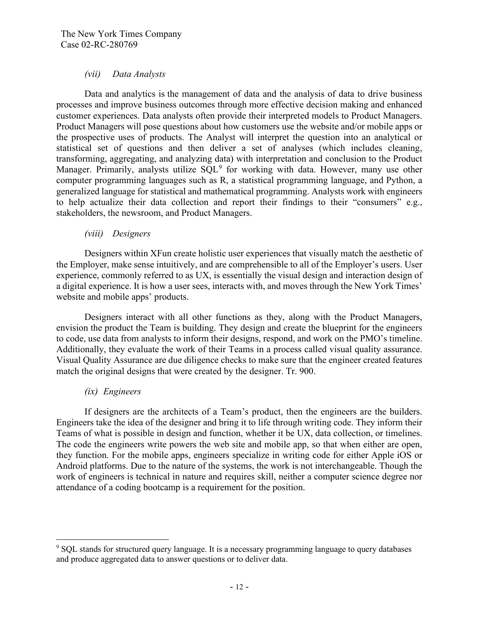### *(vii) Data Analysts*

Data and analytics is the management of data and the analysis of data to drive business processes and improve business outcomes through more effective decision making and enhanced customer experiences. Data analysts often provide their interpreted models to Product Managers. Product Managers will pose questions about how customers use the website and/or mobile apps or the prospective uses of products. The Analyst will interpret the question into an analytical or statistical set of questions and then deliver a set of analyses (which includes cleaning, transforming, aggregating, and analyzing data) with interpretation and conclusion to the Product Manager. Primarily, analysts utilize SQL<sup>9</sup> for working with data. However, many use other computer programming languages such as R, a statistical programming language, and Python, a generalized language for statistical and mathematical programming. Analysts work with engineers to help actualize their data collection and report their findings to their "consumers" e.g., stakeholders, the newsroom, and Product Managers.

### *(viii) Designers*

Designers within XFun create holistic user experiences that visually match the aesthetic of the Employer, make sense intuitively, and are comprehensible to all of the Employer's users. User experience, commonly referred to as UX, is essentially the visual design and interaction design of a digital experience. It is how a user sees, interacts with, and moves through the New York Times' website and mobile apps' products.

Designers interact with all other functions as they, along with the Product Managers, envision the product the Team is building. They design and create the blueprint for the engineers to code, use data from analysts to inform their designs, respond, and work on the PMO's timeline. Additionally, they evaluate the work of their Teams in a process called visual quality assurance. Visual Quality Assurance are due diligence checks to make sure that the engineer created features match the original designs that were created by the designer. Tr. 900.

# *(ix) Engineers*

If designers are the architects of a Team's product, then the engineers are the builders. Engineers take the idea of the designer and bring it to life through writing code. They inform their Teams of what is possible in design and function, whether it be UX, data collection, or timelines. The code the engineers write powers the web site and mobile app, so that when either are open, they function. For the mobile apps, engineers specialize in writing code for either Apple iOS or Android platforms. Due to the nature of the systems, the work is not interchangeable. Though the work of engineers is technical in nature and requires skill, neither a computer science degree nor attendance of a coding bootcamp is a requirement for the position.

<sup>&</sup>lt;sup>9</sup> SQL stands for structured query language. It is a necessary programming language to query databases and produce aggregated data to answer questions or to deliver data.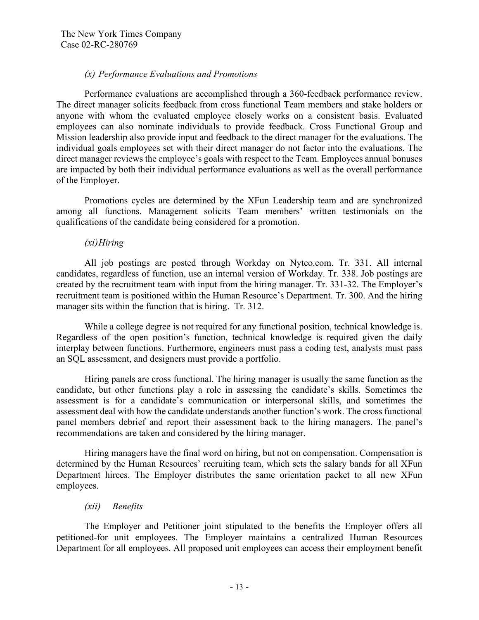### *(x) Performance Evaluations and Promotions*

Performance evaluations are accomplished through a 360-feedback performance review. The direct manager solicits feedback from cross functional Team members and stake holders or anyone with whom the evaluated employee closely works on a consistent basis. Evaluated employees can also nominate individuals to provide feedback. Cross Functional Group and Mission leadership also provide input and feedback to the direct manager for the evaluations. The individual goals employees set with their direct manager do not factor into the evaluations. The direct manager reviews the employee's goals with respect to the Team. Employees annual bonuses are impacted by both their individual performance evaluations as well as the overall performance of the Employer.

Promotions cycles are determined by the XFun Leadership team and are synchronized among all functions. Management solicits Team members' written testimonials on the qualifications of the candidate being considered for a promotion.

### *(xi)Hiring*

All job postings are posted through Workday on Nytco.com. Tr. 331. All internal candidates, regardless of function, use an internal version of Workday. Tr. 338. Job postings are created by the recruitment team with input from the hiring manager. Tr. 331-32. The Employer's recruitment team is positioned within the Human Resource's Department. Tr. 300. And the hiring manager sits within the function that is hiring. Tr. 312.

While a college degree is not required for any functional position, technical knowledge is. Regardless of the open position's function, technical knowledge is required given the daily interplay between functions. Furthermore, engineers must pass a coding test, analysts must pass an SQL assessment, and designers must provide a portfolio.

Hiring panels are cross functional. The hiring manager is usually the same function as the candidate, but other functions play a role in assessing the candidate's skills. Sometimes the assessment is for a candidate's communication or interpersonal skills, and sometimes the assessment deal with how the candidate understands another function's work. The cross functional panel members debrief and report their assessment back to the hiring managers. The panel's recommendations are taken and considered by the hiring manager.

Hiring managers have the final word on hiring, but not on compensation. Compensation is determined by the Human Resources' recruiting team, which sets the salary bands for all XFun Department hirees. The Employer distributes the same orientation packet to all new XFun employees.

### *(xii) Benefits*

The Employer and Petitioner joint stipulated to the benefits the Employer offers all petitioned-for unit employees. The Employer maintains a centralized Human Resources Department for all employees. All proposed unit employees can access their employment benefit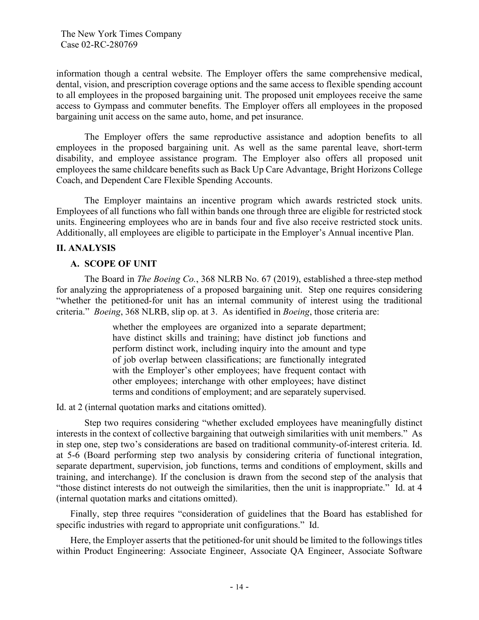information though a central website. The Employer offers the same comprehensive medical, dental, vision, and prescription coverage options and the same access to flexible spending account to all employees in the proposed bargaining unit. The proposed unit employees receive the same access to Gympass and commuter benefits. The Employer offers all employees in the proposed bargaining unit access on the same auto, home, and pet insurance.

The Employer offers the same reproductive assistance and adoption benefits to all employees in the proposed bargaining unit. As well as the same parental leave, short-term disability, and employee assistance program. The Employer also offers all proposed unit employees the same childcare benefits such as Back Up Care Advantage, Bright Horizons College Coach, and Dependent Care Flexible Spending Accounts.

The Employer maintains an incentive program which awards restricted stock units. Employees of all functions who fall within bands one through three are eligible for restricted stock units. Engineering employees who are in bands four and five also receive restricted stock units. Additionally, all employees are eligible to participate in the Employer's Annual incentive Plan.

### **II. ANALYSIS**

### **A. SCOPE OF UNIT**

The Board in *The Boeing Co.*, 368 NLRB No. 67 (2019), established a three-step method for analyzing the appropriateness of a proposed bargaining unit. Step one requires considering "whether the petitioned-for unit has an internal community of interest using the traditional criteria." *Boeing*, 368 NLRB, slip op. at 3. As identified in *Boeing*, those criteria are:

> whether the employees are organized into a separate department; have distinct skills and training; have distinct job functions and perform distinct work, including inquiry into the amount and type of job overlap between classifications; are functionally integrated with the Employer's other employees; have frequent contact with other employees; interchange with other employees; have distinct terms and conditions of employment; and are separately supervised.

Id. at 2 (internal quotation marks and citations omitted).

Step two requires considering "whether excluded employees have meaningfully distinct interests in the context of collective bargaining that outweigh similarities with unit members." As in step one, step two's considerations are based on traditional community-of-interest criteria. Id. at 5-6 (Board performing step two analysis by considering criteria of functional integration, separate department, supervision, job functions, terms and conditions of employment, skills and training, and interchange). If the conclusion is drawn from the second step of the analysis that "those distinct interests do not outweigh the similarities, then the unit is inappropriate." Id. at 4 (internal quotation marks and citations omitted).

Finally, step three requires "consideration of guidelines that the Board has established for specific industries with regard to appropriate unit configurations." Id.

Here, the Employer asserts that the petitioned-for unit should be limited to the followings titles within Product Engineering: Associate Engineer, Associate QA Engineer, Associate Software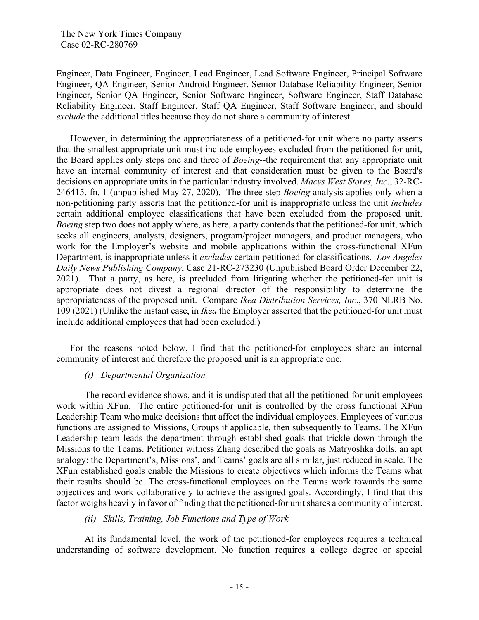Engineer, Data Engineer, Engineer, Lead Engineer, Lead Software Engineer, Principal Software Engineer, QA Engineer, Senior Android Engineer, Senior Database Reliability Engineer, Senior Engineer, Senior QA Engineer, Senior Software Engineer, Software Engineer, Staff Database Reliability Engineer, Staff Engineer, Staff QA Engineer, Staff Software Engineer, and should *exclude* the additional titles because they do not share a community of interest.

However, in determining the appropriateness of a petitioned-for unit where no party asserts that the smallest appropriate unit must include employees excluded from the petitioned-for unit, the Board applies only steps one and three of *Boeing*--the requirement that any appropriate unit have an internal community of interest and that consideration must be given to the Board's decisions on appropriate units in the particular industry involved. *Macys West Stores, Inc*., 32-RC-246415, fn. 1 (unpublished May 27, 2020). The three-step *Boeing* analysis applies only when a non-petitioning party asserts that the petitioned-for unit is inappropriate unless the unit *includes*  certain additional employee classifications that have been excluded from the proposed unit. *Boeing* step two does not apply where, as here, a party contends that the petitioned-for unit, which seeks all engineers, analysts, designers, program/project managers, and product managers, who work for the Employer's website and mobile applications within the cross-functional XFun Department, is inappropriate unless it *excludes* certain petitioned-for classifications. *Los Angeles Daily News Publishing Company*, Case 21-RC-273230 (Unpublished Board Order December 22, 2021). That a party, as here, is precluded from litigating whether the petitioned-for unit is appropriate does not divest a regional director of the responsibility to determine the appropriateness of the proposed unit. Compare *Ikea Distribution Services, Inc*., 370 NLRB No. 109 (2021) (Unlike the instant case, in *Ikea* the Employer asserted that the petitioned-for unit must include additional employees that had been excluded.)

For the reasons noted below, I find that the petitioned-for employees share an internal community of interest and therefore the proposed unit is an appropriate one.

### *(i) Departmental Organization*

The record evidence shows, and it is undisputed that all the petitioned-for unit employees work within XFun. The entire petitioned-for unit is controlled by the cross functional XFun Leadership Team who make decisions that affect the individual employees. Employees of various functions are assigned to Missions, Groups if applicable, then subsequently to Teams. The XFun Leadership team leads the department through established goals that trickle down through the Missions to the Teams. Petitioner witness Zhang described the goals as Matryoshka dolls, an apt analogy: the Department's, Missions', and Teams' goals are all similar, just reduced in scale. The XFun established goals enable the Missions to create objectives which informs the Teams what their results should be. The cross-functional employees on the Teams work towards the same objectives and work collaboratively to achieve the assigned goals. Accordingly, I find that this factor weighs heavily in favor of finding that the petitioned-for unit shares a community of interest.

### *(ii) Skills, Training, Job Functions and Type of Work*

At its fundamental level, the work of the petitioned-for employees requires a technical understanding of software development. No function requires a college degree or special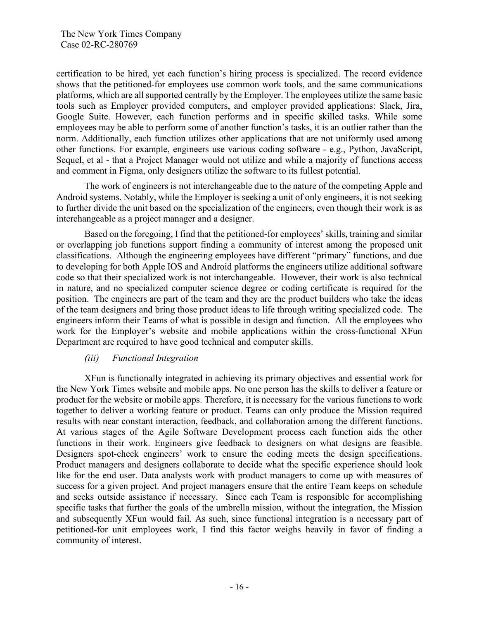certification to be hired, yet each function's hiring process is specialized. The record evidence shows that the petitioned-for employees use common work tools, and the same communications platforms, which are all supported centrally by the Employer. The employees utilize the same basic tools such as Employer provided computers, and employer provided applications: Slack, Jira, Google Suite. However, each function performs and in specific skilled tasks. While some employees may be able to perform some of another function's tasks, it is an outlier rather than the norm. Additionally, each function utilizes other applications that are not uniformly used among other functions. For example, engineers use various coding software - e.g., Python, JavaScript, Sequel, et al - that a Project Manager would not utilize and while a majority of functions access and comment in Figma, only designers utilize the software to its fullest potential.

The work of engineers is not interchangeable due to the nature of the competing Apple and Android systems. Notably, while the Employer is seeking a unit of only engineers, it is not seeking to further divide the unit based on the specialization of the engineers, even though their work is as interchangeable as a project manager and a designer.

Based on the foregoing, I find that the petitioned-for employees' skills, training and similar or overlapping job functions support finding a community of interest among the proposed unit classifications. Although the engineering employees have different "primary" functions, and due to developing for both Apple IOS and Android platforms the engineers utilize additional software code so that their specialized work is not interchangeable. However, their work is also technical in nature, and no specialized computer science degree or coding certificate is required for the position. The engineers are part of the team and they are the product builders who take the ideas of the team designers and bring those product ideas to life through writing specialized code. The engineers inform their Teams of what is possible in design and function. All the employees who work for the Employer's website and mobile applications within the cross-functional XFun Department are required to have good technical and computer skills.

# *(iii) Functional Integration*

XFun is functionally integrated in achieving its primary objectives and essential work for the New York Times website and mobile apps. No one person has the skills to deliver a feature or product for the website or mobile apps. Therefore, it is necessary for the various functions to work together to deliver a working feature or product. Teams can only produce the Mission required results with near constant interaction, feedback, and collaboration among the different functions. At various stages of the Agile Software Development process each function aids the other functions in their work. Engineers give feedback to designers on what designs are feasible. Designers spot-check engineers' work to ensure the coding meets the design specifications. Product managers and designers collaborate to decide what the specific experience should look like for the end user. Data analysts work with product managers to come up with measures of success for a given project. And project managers ensure that the entire Team keeps on schedule and seeks outside assistance if necessary. Since each Team is responsible for accomplishing specific tasks that further the goals of the umbrella mission, without the integration, the Mission and subsequently XFun would fail. As such, since functional integration is a necessary part of petitioned-for unit employees work, I find this factor weighs heavily in favor of finding a community of interest.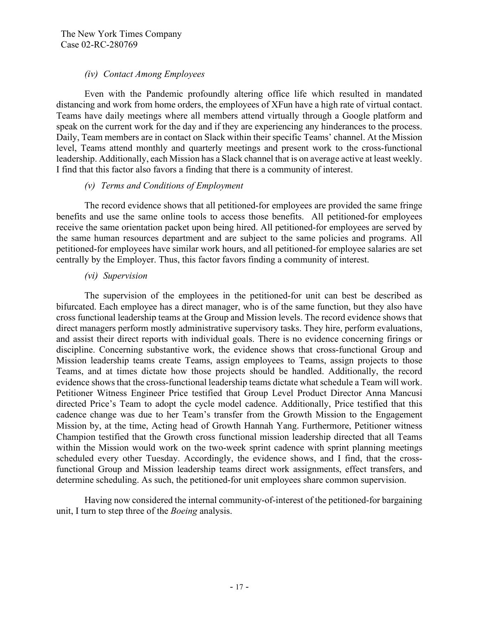### *(iv) Contact Among Employees*

Even with the Pandemic profoundly altering office life which resulted in mandated distancing and work from home orders, the employees of XFun have a high rate of virtual contact. Teams have daily meetings where all members attend virtually through a Google platform and speak on the current work for the day and if they are experiencing any hinderances to the process. Daily, Team members are in contact on Slack within their specific Teams' channel. At the Mission level, Teams attend monthly and quarterly meetings and present work to the cross-functional leadership. Additionally, each Mission has a Slack channel that is on average active at least weekly. I find that this factor also favors a finding that there is a community of interest.

### *(v) Terms and Conditions of Employment*

The record evidence shows that all petitioned-for employees are provided the same fringe benefits and use the same online tools to access those benefits. All petitioned-for employees receive the same orientation packet upon being hired. All petitioned-for employees are served by the same human resources department and are subject to the same policies and programs. All petitioned-for employees have similar work hours, and all petitioned-for employee salaries are set centrally by the Employer. Thus, this factor favors finding a community of interest.

### *(vi) Supervision*

The supervision of the employees in the petitioned-for unit can best be described as bifurcated. Each employee has a direct manager, who is of the same function, but they also have cross functional leadership teams at the Group and Mission levels. The record evidence shows that direct managers perform mostly administrative supervisory tasks. They hire, perform evaluations, and assist their direct reports with individual goals. There is no evidence concerning firings or discipline. Concerning substantive work, the evidence shows that cross-functional Group and Mission leadership teams create Teams, assign employees to Teams, assign projects to those Teams, and at times dictate how those projects should be handled. Additionally, the record evidence shows that the cross-functional leadership teams dictate what schedule a Team will work. Petitioner Witness Engineer Price testified that Group Level Product Director Anna Mancusi directed Price's Team to adopt the cycle model cadence. Additionally, Price testified that this cadence change was due to her Team's transfer from the Growth Mission to the Engagement Mission by, at the time, Acting head of Growth Hannah Yang. Furthermore, Petitioner witness Champion testified that the Growth cross functional mission leadership directed that all Teams within the Mission would work on the two-week sprint cadence with sprint planning meetings scheduled every other Tuesday. Accordingly, the evidence shows, and I find, that the crossfunctional Group and Mission leadership teams direct work assignments, effect transfers, and determine scheduling. As such, the petitioned-for unit employees share common supervision.

Having now considered the internal community-of-interest of the petitioned-for bargaining unit, I turn to step three of the *Boeing* analysis.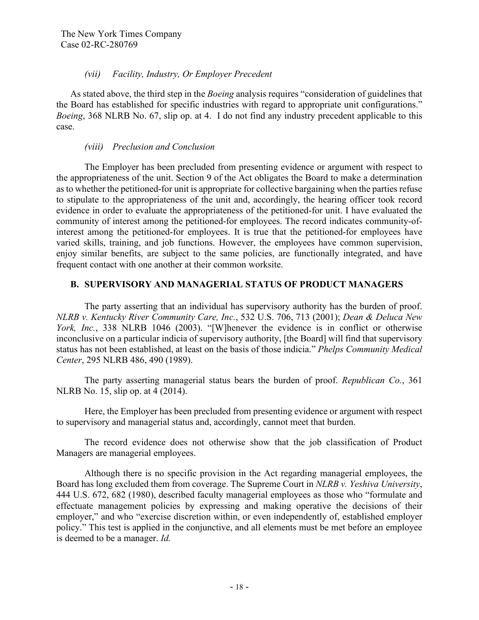### *(vii) Facility, Industry, Or Employer Precedent*

As stated above, the third step in the *Boeing* analysis requires "consideration of guidelines that the Board has established for specific industries with regard to appropriate unit configurations." *Boeing*, 368 NLRB No. 67, slip op. at 4. I do not find any industry precedent applicable to this case.

### *(viii) Preclusion and Conclusion*

The Employer has been precluded from presenting evidence or argument with respect to the appropriateness of the unit. Section 9 of the Act obligates the Board to make a determination as to whether the petitioned-for unit is appropriate for collective bargaining when the parties refuse to stipulate to the appropriateness of the unit and, accordingly, the hearing officer took record evidence in order to evaluate the appropriateness of the petitioned-for unit. I have evaluated the community of interest among the petitioned-for employees. The record indicates community-ofinterest among the petitioned-for employees. It is true that the petitioned-for employees have varied skills, training, and job functions. However, the employees have common supervision, enjoy similar benefits, are subject to the same policies, are functionally integrated, and have frequent contact with one another at their common worksite.

### **B. SUPERVISORY AND MANAGERIAL STATUS OF PRODUCT MANAGERS**

The party asserting that an individual has supervisory authority has the burden of proof. *NLRB v. Kentucky River Community Care, Inc.*, 532 U.S. 706, 713 (2001); *Dean & Deluca New York, Inc.*, 338 NLRB 1046 (2003). "[W]henever the evidence is in conflict or otherwise inconclusive on a particular indicia of supervisory authority, [the Board] will find that supervisory status has not been established, at least on the basis of those indicia." *Phelps Community Medical Center*, 295 NLRB 486, 490 (1989).

The party asserting managerial status bears the burden of proof. *Republican Co.*, 361 NLRB No. 15, slip op. at 4 (2014).

Here, the Employer has been precluded from presenting evidence or argument with respect to supervisory and managerial status and, accordingly, cannot meet that burden.

The record evidence does not otherwise show that the job classification of Product Managers are managerial employees.

Although there is no specific provision in the Act regarding managerial employees, the Board has long excluded them from coverage. The Supreme Court in *NLRB v. Yeshiva University*, 444 U.S. 672, 682 (1980), described faculty managerial employees as those who "formulate and effectuate management policies by expressing and making operative the decisions of their employer," and who "exercise discretion within, or even independently of, established employer policy." This test is applied in the conjunctive, and all elements must be met before an employee is deemed to be a manager. *Id.*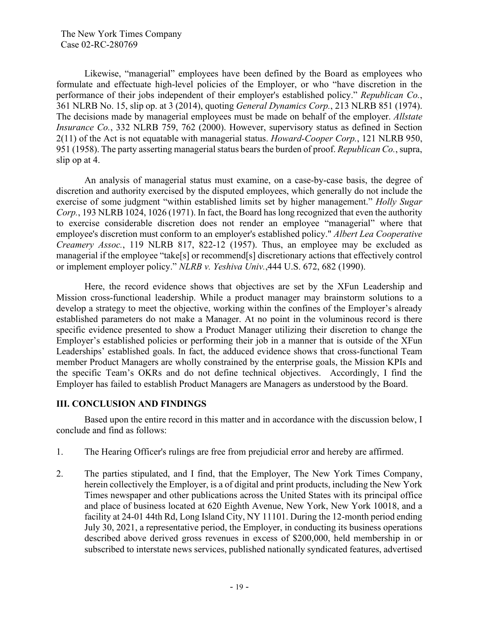Likewise, "managerial" employees have been defined by the Board as employees who formulate and effectuate high-level policies of the Employer, or who "have discretion in the performance of their jobs independent of their employer's established policy." *Republican Co.*, 361 NLRB No. 15, slip op. at 3 (2014), quoting *General Dynamics Corp.*, 213 NLRB 851 (1974). The decisions made by managerial employees must be made on behalf of the employer. *Allstate Insurance Co.*, 332 NLRB 759, 762 (2000). However, supervisory status as defined in Section 2(11) of the Act is not equatable with managerial status. *Howard-Cooper Corp.*, 121 NLRB 950, 951 (1958). The party asserting managerial status bears the burden of proof. *Republican Co.*, supra, slip op at 4.

An analysis of managerial status must examine, on a case-by-case basis, the degree of discretion and authority exercised by the disputed employees, which generally do not include the exercise of some judgment "within established limits set by higher management." *Holly Sugar Corp.*, 193 NLRB 1024, 1026 (1971). In fact, the Board has long recognized that even the authority to exercise considerable discretion does not render an employee "managerial" where that employee's discretion must conform to an employer's established policy." *Albert Lea Cooperative Creamery Assoc.*, 119 NLRB 817, 822-12 (1957). Thus, an employee may be excluded as managerial if the employee "take[s] or recommend[s] discretionary actions that effectively control or implement employer policy." *NLRB v. Yeshiva Univ.*,444 U.S. 672, 682 (1990).

Here, the record evidence shows that objectives are set by the XFun Leadership and Mission cross-functional leadership. While a product manager may brainstorm solutions to a develop a strategy to meet the objective, working within the confines of the Employer's already established parameters do not make a Manager. At no point in the voluminous record is there specific evidence presented to show a Product Manager utilizing their discretion to change the Employer's established policies or performing their job in a manner that is outside of the XFun Leaderships' established goals. In fact, the adduced evidence shows that cross-functional Team member Product Managers are wholly constrained by the enterprise goals, the Mission KPIs and the specific Team's OKRs and do not define technical objectives. Accordingly, I find the Employer has failed to establish Product Managers are Managers as understood by the Board.

# **III. CONCLUSION AND FINDINGS**

Based upon the entire record in this matter and in accordance with the discussion below, I conclude and find as follows:

- 1. The Hearing Officer's rulings are free from prejudicial error and hereby are affirmed.
- 2. The parties stipulated, and I find, that the Employer, The New York Times Company, herein collectively the Employer, is a of digital and print products, including the New York Times newspaper and other publications across the United States with its principal office and place of business located at 620 Eighth Avenue, New York, New York 10018, and a facility at 24-01 44th Rd, Long Island City, NY 11101. During the 12-month period ending July 30, 2021, a representative period, the Employer, in conducting its business operations described above derived gross revenues in excess of \$200,000, held membership in or subscribed to interstate news services, published nationally syndicated features, advertised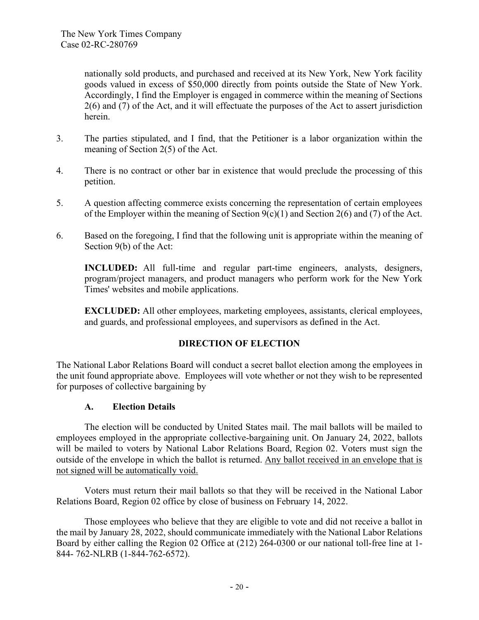nationally sold products, and purchased and received at its New York, New York facility goods valued in excess of \$50,000 directly from points outside the State of New York. Accordingly, I find the Employer is engaged in commerce within the meaning of Sections 2(6) and (7) of the Act, and it will effectuate the purposes of the Act to assert jurisdiction herein.

- 3. The parties stipulated, and I find, that the Petitioner is a labor organization within the meaning of Section 2(5) of the Act.
- 4. There is no contract or other bar in existence that would preclude the processing of this petition.
- 5. A question affecting commerce exists concerning the representation of certain employees of the Employer within the meaning of Section  $9(c)(1)$  and Section 2(6) and (7) of the Act.
- 6. Based on the foregoing, I find that the following unit is appropriate within the meaning of Section 9(b) of the Act:

**INCLUDED:** All full-time and regular part-time engineers, analysts, designers, program/project managers, and product managers who perform work for the New York Times' websites and mobile applications.

**EXCLUDED:** All other employees, marketing employees, assistants, clerical employees, and guards, and professional employees, and supervisors as defined in the Act.

# **DIRECTION OF ELECTION**

The National Labor Relations Board will conduct a secret ballot election among the employees in the unit found appropriate above. Employees will vote whether or not they wish to be represented for purposes of collective bargaining by

# **A. Election Details**

The election will be conducted by United States mail. The mail ballots will be mailed to employees employed in the appropriate collective-bargaining unit. On January 24, 2022, ballots will be mailed to voters by National Labor Relations Board, Region 02. Voters must sign the outside of the envelope in which the ballot is returned. Any ballot received in an envelope that is not signed will be automatically void.

Voters must return their mail ballots so that they will be received in the National Labor Relations Board, Region 02 office by close of business on February 14, 2022.

Those employees who believe that they are eligible to vote and did not receive a ballot in the mail by January 28, 2022, should communicate immediately with the National Labor Relations Board by either calling the Region 02 Office at (212) 264-0300 or our national toll-free line at 1- 844- 762-NLRB (1-844-762-6572).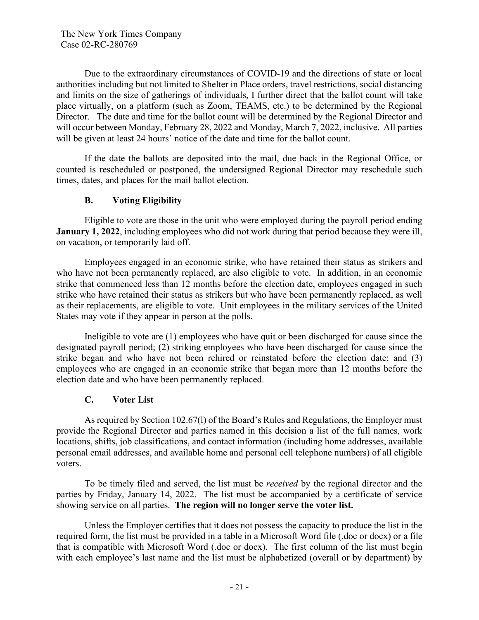Due to the extraordinary circumstances of COVID-19 and the directions of state or local authorities including but not limited to Shelter in Place orders, travel restrictions, social distancing and limits on the size of gatherings of individuals, I further direct that the ballot count will take place virtually, on a platform (such as Zoom, TEAMS, etc.) to be determined by the Regional Director. The date and time for the ballot count will be determined by the Regional Director and will occur between Monday, February 28, 2022 and Monday, March 7, 2022, inclusive. All parties will be given at least 24 hours' notice of the date and time for the ballot count.

If the date the ballots are deposited into the mail, due back in the Regional Office, or counted is rescheduled or postponed, the undersigned Regional Director may reschedule such times, dates, and places for the mail ballot election.

# **B. Voting Eligibility**

Eligible to vote are those in the unit who were employed during the payroll period ending **January 1, 2022**, including employees who did not work during that period because they were ill, on vacation, or temporarily laid off.

Employees engaged in an economic strike, who have retained their status as strikers and who have not been permanently replaced, are also eligible to vote. In addition, in an economic strike that commenced less than 12 months before the election date, employees engaged in such strike who have retained their status as strikers but who have been permanently replaced, as well as their replacements, are eligible to vote. Unit employees in the military services of the United States may vote if they appear in person at the polls.

Ineligible to vote are (1) employees who have quit or been discharged for cause since the designated payroll period; (2) striking employees who have been discharged for cause since the strike began and who have not been rehired or reinstated before the election date; and (3) employees who are engaged in an economic strike that began more than 12 months before the election date and who have been permanently replaced.

# **C. Voter List**

As required by Section 102.67(l) of the Board's Rules and Regulations, the Employer must provide the Regional Director and parties named in this decision a list of the full names, work locations, shifts, job classifications, and contact information (including home addresses, available personal email addresses, and available home and personal cell telephone numbers) of all eligible voters.

To be timely filed and served, the list must be *received* by the regional director and the parties by Friday, January 14, 2022. The list must be accompanied by a certificate of service showing service on all parties. **The region will no longer serve the voter list.**

Unless the Employer certifies that it does not possess the capacity to produce the list in the required form, the list must be provided in a table in a Microsoft Word file (.doc or docx) or a file that is compatible with Microsoft Word (.doc or docx). The first column of the list must begin with each employee's last name and the list must be alphabetized (overall or by department) by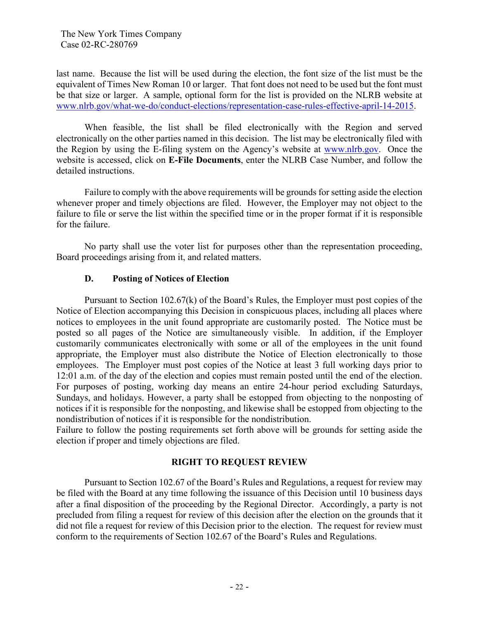last name. Because the list will be used during the election, the font size of the list must be the equivalent of Times New Roman 10 or larger. That font does not need to be used but the font must be that size or larger. A sample, optional form for the list is provided on the NLRB website at www.nlrb.gov/what-we-do/conduct-elections/representation-case-rules-effective-april-14-2015.

When feasible, the list shall be filed electronically with the Region and served electronically on the other parties named in this decision. The list may be electronically filed with the Region by using the E-filing system on the Agency's website at www.nlrb.gov. Once the website is accessed, click on **E-File Documents**, enter the NLRB Case Number, and follow the detailed instructions.

Failure to comply with the above requirements will be grounds for setting aside the election whenever proper and timely objections are filed. However, the Employer may not object to the failure to file or serve the list within the specified time or in the proper format if it is responsible for the failure.

No party shall use the voter list for purposes other than the representation proceeding, Board proceedings arising from it, and related matters.

### **D. Posting of Notices of Election**

Pursuant to Section 102.67(k) of the Board's Rules, the Employer must post copies of the Notice of Election accompanying this Decision in conspicuous places, including all places where notices to employees in the unit found appropriate are customarily posted. The Notice must be posted so all pages of the Notice are simultaneously visible. In addition, if the Employer customarily communicates electronically with some or all of the employees in the unit found appropriate, the Employer must also distribute the Notice of Election electronically to those employees. The Employer must post copies of the Notice at least 3 full working days prior to 12:01 a.m. of the day of the election and copies must remain posted until the end of the election. For purposes of posting, working day means an entire 24-hour period excluding Saturdays, Sundays, and holidays. However, a party shall be estopped from objecting to the nonposting of notices if it is responsible for the nonposting, and likewise shall be estopped from objecting to the nondistribution of notices if it is responsible for the nondistribution.

Failure to follow the posting requirements set forth above will be grounds for setting aside the election if proper and timely objections are filed.

### **RIGHT TO REQUEST REVIEW**

Pursuant to Section 102.67 of the Board's Rules and Regulations, a request for review may be filed with the Board at any time following the issuance of this Decision until 10 business days after a final disposition of the proceeding by the Regional Director. Accordingly, a party is not precluded from filing a request for review of this decision after the election on the grounds that it did not file a request for review of this Decision prior to the election. The request for review must conform to the requirements of Section 102.67 of the Board's Rules and Regulations.